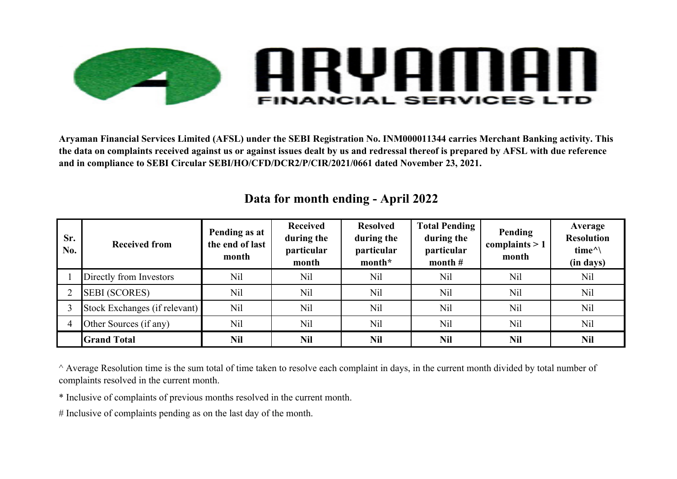

**Aryaman Financial Services Limited (AFSL) under the SEBI Registration No. INM000011344 carries Merchant Banking activity. This the data on complaints received against us or against issues dealt by us and redressal thereof is prepared by AFSL with due reference and in compliance to SEBI Circular SEBI/HO/CFD/DCR2/P/CIR/2021/0661 dated November 23, 2021.**

| Sr.<br>No. | <b>Received from</b>          | Pending as at<br>the end of last<br>month | <b>Received</b><br>during the<br>particular<br>month | <b>Resolved</b><br>during the<br>particular<br>month* | <b>Total Pending</b><br>during the<br>particular<br>month $#$ | Pending<br>complaints $> 1$<br>month | Average<br><b>Resolution</b><br>time $\land$<br>(in days) |
|------------|-------------------------------|-------------------------------------------|------------------------------------------------------|-------------------------------------------------------|---------------------------------------------------------------|--------------------------------------|-----------------------------------------------------------|
|            | Directly from Investors       | N <sub>il</sub>                           | Nil                                                  | Nil                                                   | Nil                                                           | Nil                                  | Nil                                                       |
|            | <b>SEBI (SCORES)</b>          | N <sub>il</sub>                           | N <sub>il</sub>                                      | N <sub>il</sub>                                       | Nil                                                           | Nil                                  | Nil                                                       |
|            | Stock Exchanges (if relevant) | Nil                                       | N <sub>il</sub>                                      | N <sub>il</sub>                                       | Nil                                                           | Nil                                  | Nil                                                       |
|            | Other Sources (if any)        | Nil                                       | N <sub>il</sub>                                      | N <sub>il</sub>                                       | <b>Nil</b>                                                    | Nil                                  | Nil                                                       |
|            | <b>Grand Total</b>            | <b>Nil</b>                                | <b>Nil</b>                                           | <b>Nil</b>                                            | <b>Nil</b>                                                    | <b>Nil</b>                           | <b>Nil</b>                                                |

## **Data for month ending - April 2022**

^ Average Resolution time is the sum total of time taken to resolve each complaint in days, in the current month divided by total number of complaints resolved in the current month.

\* Inclusive of complaints of previous months resolved in the current month.

# Inclusive of complaints pending as on the last day of the month.